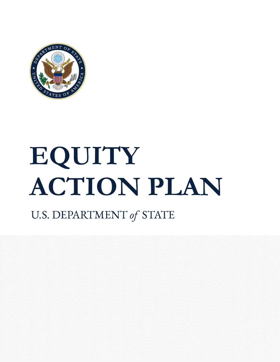

# **EQUITY ACTION PLAN**

# U.S. DEPARTMENT of STATE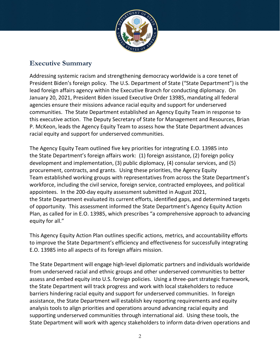

### **Executive Summary**

Addressing systemic racism and strengthening democracy worldwide is a core tenet of President Biden's foreign policy. The U.S. Department of State ("State Department") is the lead foreign affairs agency within the Executive Branch for conducting diplomacy. On January 20, 2021, President Biden issued Executive Order 13985, mandating all federal agencies ensure their missions advance racial equity and support for underserved communities. The State Department established an Agency Equity Team in response to this executive action. The Deputy Secretary of State for Management and Resources, Brian P. McKeon, leads the Agency Equity Team to assess how the State Department advances racial equity and support for underserved communities.

The Agency Equity Team outlined five key priorities for integrating E.O. 13985 into the State Department's foreign affairs work: (1) foreign assistance, (2) foreign policy development and implementation, (3) public diplomacy, (4) consular services, and (5) procurement, contracts, and grants. Using these priorities, the Agency Equity Team established working groups with representatives from across the State Department's workforce, including the civil service, foreign service, contracted employees, and political appointees. In the 200-day equity assessment submitted in August 2021, the State Department evaluated its current efforts, identified gaps, and determined targets of opportunity. This assessment informed the State Department's Agency Equity Action Plan, as called for in E.O. 13985, which prescribes "a comprehensive approach to advancing equity for all."

This Agency Equity Action Plan outlines specific actions, metrics, and accountability efforts to improve the State Department's efficiency and effectiveness for successfully integrating E.O. 13985 into all aspects of its foreign affairs mission.

The State Department will engage high-level diplomatic partners and individuals worldwide from underserved racial and ethnic groups and other underserved communities to better assess and embed equity into U.S. foreign policies. Using a three-part strategic framework, the State Department will track progress and work with local stakeholders to reduce barriers hindering racial equity and support for underserved communities. In foreign assistance, the State Department will establish key reporting requirements and equity analysis tools to align priorities and operations around advancing racial equity and supporting underserved communities through international aid. Using these tools, the State Department will work with agency stakeholders to inform data-driven operations and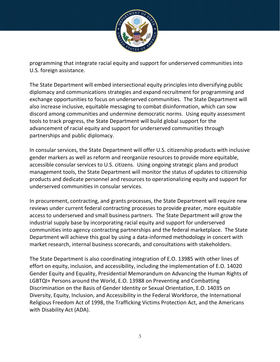

programming that integrate racial equity and support for underserved communities into U.S. foreign assistance.

The State Department will embed intersectional equity principles into diversifying public diplomacy and communications strategies and expand recruitment for programming and exchange opportunities to focus on underserved communities. The State Department will also increase inclusive, equitable messaging to combat disinformation, which can sow discord among communities and undermine democratic norms. Using equity assessment tools to track progress, the State Department will build global support for the advancement of racial equity and support for underserved communities through partnerships and public diplomacy.

In consular services, the State Department will offer U.S. citizenship products with inclusive gender markers as well as reform and reorganize resources to provide more equitable, accessible consular services to U.S. citizens. Using ongoing strategic plans and product management tools, the State Department will monitor the status of updates to citizenship products and dedicate personnel and resources to operationalizing equity and support for underserved communities in consular services.

In procurement, contracting, and grants processes, the State Department will require new reviews under current federal contracting processes to provide greater, more equitable access to underserved and small business partners. The State Department will grow the industrial supply base by incorporating racial equity and support for underserved communities into agency contracting partnerships and the federal marketplace. The State Department will achieve this goal by using a data-informed methodology in concert with market research, internal business scorecards, and consultations with stakeholders.

The State Department is also coordinating integration of E.O. 13985 with other lines of effort on equity, inclusion, and accessibility, including the implementation of E.O. 14020 Gender Equity and Equality, Presidential Memorandum on Advancing the Human Rights of LGBTQI+ Persons around the World, E.O. 13988 on Preventing and Combatting Discrimination on the Basis of Gender Identity or Sexual Orientation, E.O. 14035 on Diversity, Equity, Inclusion, and Accessibility in the Federal Workforce, the International Religious Freedom Act of 1998, the Trafficking Victims Protection Act, and the Americans with Disability Act (ADA).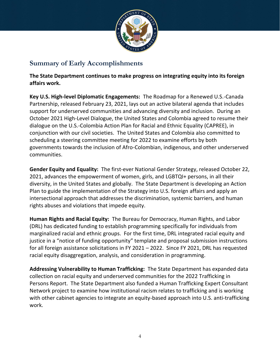

## **Summary of Early Accomplishments**

**The State Department continues to make progress on integrating equity into its foreign affairs work.** 

**Key U.S. High-level Diplomatic Engagements:** The Roadmap for a Renewed U.S.-Canada Partnership, released February 23, 2021, lays out an active bilateral agenda that includes support for underserved communities and advancing diversity and inclusion. During an October 2021 High-Level Dialogue, the United States and Colombia agreed to resume their dialogue on the U.S.-Colombia Action Plan for Racial and Ethnic Equality (CAPREE), in conjunction with our civil societies. The United States and Colombia also committed to scheduling a steering committee meeting for 2022 to examine efforts by both governments towards the inclusion of Afro-Colombian, indigenous, and other underserved communities.

**Gender Equity and Equality:** The first-ever National Gender Strategy, released October 22, 2021, advances the empowerment of women, girls, and LGBTQI+ persons, in all their diversity, in the United States and globally. The State Department is developing an Action Plan to guide the implementation of the Strategy into U.S. foreign affairs and apply an intersectional approach that addresses the discrimination, systemic barriers, and human rights abuses and violations that impede equity.

**Human Rights and Racial Equity:** The Bureau for Democracy, Human Rights, and Labor (DRL) has dedicated funding to establish programming specifically for individuals from marginalized racial and ethnic groups. For the first time, DRL integrated racial equity and justice in a "notice of funding opportunity" template and proposal submission instructions for all foreign assistance solicitations in FY 2021 – 2022. Since FY 2021, DRL has requested racial equity disaggregation, analysis, and consideration in programming.

**Addressing Vulnerability to Human Trafficking:** The State Department has expanded data collection on racial equity and underserved communities for the 2022 Trafficking in Persons Report. The State Department also funded a Human Trafficking Expert Consultant Network project to examine how institutional racism relates to trafficking and is working with other cabinet agencies to integrate an equity-based approach into U.S. anti-trafficking work.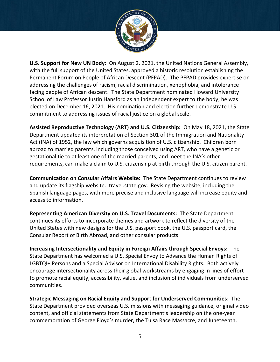

**U.S. Support for New UN Body:** On August 2, 2021, the United Nations General Assembly, with the full support of the United States, approved a historic resolution establishing the Permanent Forum on People of African Descent (PFPAD). The PFPAD provides expertise on addressing the challenges of racism, racial discrimination, xenophobia, and intolerance facing people of African descent. The State Department nominated Howard University School of Law Professor Justin Hansford as an independent expert to the body; he was elected on December 16, 2021. His nomination and election further demonstrate U.S. commitment to addressing issues of racial justice on a global scale.

**Assisted Reproductive Technology (ART) and U.S. Citizenship:** On May 18, 2021, the State Department updated its interpretation of Section 301 of the Immigration and Nationality Act (INA) of 1952, the law which governs acquisition of U.S. citizenship. Children born abroad to married parents, including those conceived using ART, who have a genetic or gestational tie to at least one of the married parents, and meet the INA's other requirements, can make a claim to U.S. citizenship at birth through the U.S. citizen parent.

**Communication on Consular Affairs Website:** The State Department continues to review and update its flagship website: travel.state.gov. Revising the website, including the Spanish language pages, with more precise and inclusive language will increase equity and access to information.

**Representing American Diversity on U.S. Travel Documents:** The State Department continues its efforts to incorporate themes and artwork to reflect the diversity of the United States with new designs for the U.S. passport book, the U.S. passport card, the Consular Report of Birth Abroad, and other consular products.

**Increasing Intersectionality and Equity in Foreign Affairs through Special Envoys:** The State Department has welcomed a U.S. Special Envoy to Advance the Human Rights of LGBTQI+ Persons and a Special Advisor on International Disability Rights. Both actively encourage intersectionality across their global workstreams by engaging in lines of effort to promote racial equity, accessibility, value, and inclusion of individuals from underserved communities.

**Strategic Messaging on Racial Equity and Support for Underserved Communities**: The State Department provided overseas U.S. missions with messaging guidance, original video content, and official statements from State Department's leadership on the one-year commemoration of George Floyd's murder, the Tulsa Race Massacre, and Juneteenth.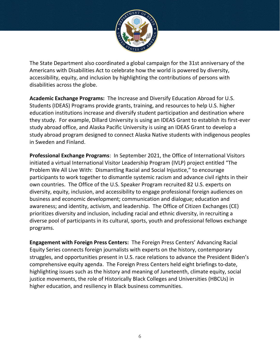

The State Department also coordinated a global campaign for the 31st anniversary of the Americans with Disabilities Act to celebrate how the world is powered by diversity, accessibility, equity, and inclusion by highlighting the contributions of persons with disabilities across the globe.

**Academic Exchange Programs:** The Increase and Diversify Education Abroad for U.S. Students (IDEAS) Programs provide grants, training, and resources to help U.S. higher education institutions increase and diversify student participation and destination where they study. For example, Dillard University is using an IDEAS Grant to establish its first-ever study abroad office, and Alaska Pacific University is using an IDEAS Grant to develop a study abroad program designed to connect Alaska Native students with indigenous peoples in Sweden and Finland.

**Professional Exchange Programs**: In September 2021, the Office of International Visitors initiated a virtual International Visitor Leadership Program (IVLP) project entitled "The Problem We All Live With: Dismantling Racial and Social Injustice," to encourage participants to work together to dismantle systemic racism and advance civil rights in their own countries. The Office of the U.S. Speaker Program recruited 82 U.S. experts on diversity, equity, inclusion, and accessibility to engage professional foreign audiences on business and economic development; communication and dialogue; education and awareness; and identity, activism, and leadership. The Office of Citizen Exchanges (CE) prioritizes diversity and inclusion, including racial and ethnic diversity, in recruiting a diverse pool of participants in its cultural, sports, youth and professional fellows exchange programs.

**Engagement with Foreign Press Centers:** The Foreign Press Centers' Advancing Racial Equity Series connects foreign journalists with experts on the history, contemporary struggles, and opportunities present in U.S. race relations to advance the President Biden's comprehensive equity agenda. The Foreign Press Centers held eight briefings to-date, highlighting issues such as the history and meaning of Juneteenth, climate equity, social justice movements, the role of Historically Black Colleges and Universities (HBCUs) in higher education, and resiliency in Black business communities.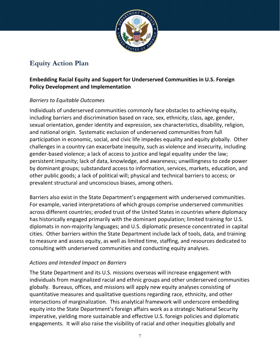

# **Equity Action Plan**

#### **Embedding Racial Equity and Support for Underserved Communities in U.S. Foreign Policy Development and Implementation**

#### *Barriers to Equitable Outcomes*

Individuals of underserved communities commonly face obstacles to achieving equity, including barriers and discrimination based on race, sex, ethnicity, class, age, gender, sexual orientation, gender identity and expression, sex characteristics, disability, religion, and national origin. Systematic exclusion of underserved communities from full participation in economic, social, and civic life impedes equality and equity globally. Other challenges in a country can exacerbate inequity, such as violence and insecurity, including gender-based violence; a lack of access to justice and legal equality under the law; persistent impunity; lack of data, knowledge, and awareness; unwillingness to cede power by dominant groups; substandard access to information, services, markets, education, and other public goods; a lack of political will; physical and technical barriers to access; or prevalent structural and unconscious biases, among others.

Barriers also exist in the State Department's engagement with underserved communities. For example, varied interpretations of which groups comprise underserved communities across different countries; eroded trust of the United States in countries where diplomacy has historically engaged primarily with the dominant population; limited training for U.S. diplomats in non-majority languages; and U.S. diplomatic presence concentrated in capital cities. Other barriers within the State Department include lack of tools, data, and training to measure and assess equity, as well as limited time, staffing, and resources dedicated to consulting with underserved communities and conducting equity analyses.

#### *Actions and Intended Impact on Barriers*

The State Department and its U.S. missions overseas will increase engagement with individuals from marginalized racial and ethnic groups and other underserved communities globally. Bureaus, offices, and missions will apply new equity analyses consisting of quantitative measures and qualitative questions regarding race, ethnicity, and other intersections of marginalization. This analytical framework will underscore embedding equity into the State Department's foreign affairs work as a strategic National Security imperative, yielding more sustainable and effective U.S. foreign policies and diplomatic engagements. It will also raise the visibility of racial and other inequities globally and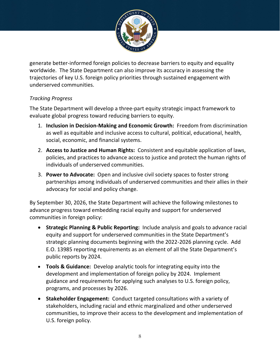

generate better-informed foreign policies to decrease barriers to equity and equality worldwide. The State Department can also improve its accuracy in assessing the trajectories of key U.S. foreign policy priorities through sustained engagement with underserved communities.

#### *Tracking Progress*

The State Department will develop a three-part equity strategic impact framework to evaluate global progress toward reducing barriers to equity.

- 1. **Inclusion in Decision-Making and Economic Growth:** Freedom from discrimination as well as equitable and inclusive access to cultural, political, educational, health, social, economic, and financial systems.
- 2. **Access to Justice and Human Rights:** Consistent and equitable application of laws, policies, and practices to advance access to justice and protect the human rights of individuals of underserved communities.
- 3. **Power to Advocate:** Open and inclusive civil society spaces to foster strong partnerships among individuals of underserved communities and their allies in their advocacy for social and policy change.

By September 30, 2026, the State Department will achieve the following milestones to advance progress toward embedding racial equity and support for underserved communities in foreign policy:

- **Strategic Planning & Public Reporting:** Include analysis and goals to advance racial equity and support for underserved communities in the State Department's strategic planning documents beginning with the 2022-2026 planning cycle. Add E.O. 13985 reporting requirements as an element of all the State Department's public reports by 2024.
- **Tools & Guidance:** Develop analytic tools for integrating equity into the development and implementation of foreign policy by 2024. Implement guidance and requirements for applying such analyses to U.S. foreign policy, programs, and processes by 2026.
- **Stakeholder Engagement:** Conduct targeted consultations with a variety of stakeholders, including racial and ethnic marginalized and other underserved communities, to improve their access to the development and implementation of U.S. foreign policy.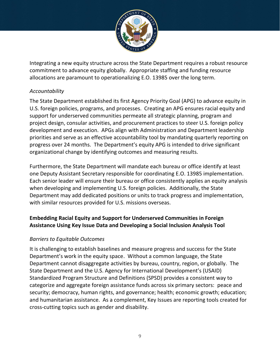

Integrating a new equity structure across the State Department requires a robust resource commitment to advance equity globally. Appropriate staffing and funding resource allocations are paramount to operationalizing E.O. 13985 over the long term.

#### *Accountability*

The State Department established its first Agency Priority Goal (APG) to advance equity in U.S. foreign policies, programs, and processes. Creating an APG ensures racial equity and support for underserved communities permeate all strategic planning, program and project design, consular activities, and procurement practices to steer U.S. foreign policy development and execution. APGs align with Administration and Department leadership priorities and serve as an effective accountability tool by mandating quarterly reporting on progress over 24 months. The Department's equity APG is intended to drive significant organizational change by identifying outcomes and measuring results.

Furthermore, the State Department will mandate each bureau or office identify at least one Deputy Assistant Secretary responsible for coordinating E.O. 13985 implementation. Each senior leader will ensure their bureau or office consistently applies an equity analysis when developing and implementing U.S. foreign policies. Additionally, the State Department may add dedicated positions or units to track progress and implementation, with similar resources provided for U.S. missions overseas.

#### **Embedding Racial Equity and Support for Underserved Communities in Foreign Assistance Using Key Issue Data and Developing a Social Inclusion Analysis Tool**

#### *Barriers to Equitable Outcomes*

It is challenging to establish baselines and measure progress and success for the State Department's work in the equity space. Without a common language, the State Department cannot disaggregate activities by bureau, country, region, or globally. The State Department and the U.S. Agency for International Development's (USAID) Standardized Program Structure and Definitions (SPSD) provides a consistent way to categorize and aggregate foreign assistance funds across six primary sectors: peace and security; democracy, human rights, and governance; health; economic growth; education; and humanitarian assistance. As a complement, Key Issues are reporting tools created for cross-cutting topics such as gender and disability.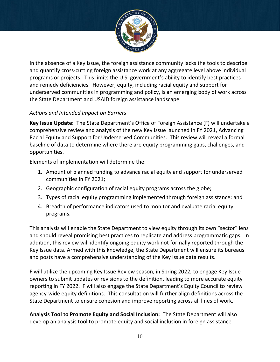

In the absence of a Key Issue, the foreign assistance community lacks the tools to describe and quantify cross-cutting foreign assistance work at any aggregate level above individual programs or projects. This limits the U.S. government's ability to identify best practices and remedy deficiencies. However, equity, including racial equity and support for underserved communities in programming and policy, is an emerging body of work across the State Department and USAID foreign assistance landscape.

#### *Actions and Intended Impact on Barriers*

**Key Issue Update:** The State Department's Office of Foreign Assistance (F) will undertake a comprehensive review and analysis of the new Key Issue launched in FY 2021, Advancing Racial Equity and Support for Underserved Communities. This review will reveal a formal baseline of data to determine where there are equity programming gaps, challenges, and opportunities.

Elements of implementation will determine the:

- 1. Amount of planned funding to advance racial equity and support for underserved communities in FY 2021;
- 2. Geographic configuration of racial equity programs across the globe;
- 3. Types of racial equity programming implemented through foreign assistance; and
- 4. Breadth of performance indicators used to monitor and evaluate racial equity programs.

This analysis will enable the State Department to view equity through its own "sector" lens and should reveal promising best practices to replicate and address programmatic gaps. In addition, this review will identify ongoing equity work not formally reported through the Key Issue data. Armed with this knowledge, the State Department will ensure its bureaus and posts have a comprehensive understanding of the Key Issue data results.

F will utilize the upcoming Key Issue Review season, in Spring 2022, to engage Key Issue owners to submit updates or revisions to the definition, leading to more accurate equity reporting in FY 2022. F will also engage the State Department's Equity Council to review agency-wide equity definitions. This consultation will further align definitions across the State Department to ensure cohesion and improve reporting across all lines of work.

**Analysis Tool to Promote Equity and Social Inclusion:** The State Department will also develop an analysis tool to promote equity and social inclusion in foreign assistance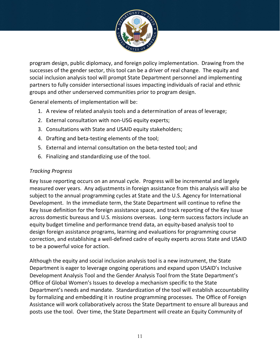

program design, public diplomacy, and foreign policy implementation. Drawing from the successes of the gender sector, this tool can be a driver of real change. The equity and social inclusion analysis tool will prompt State Department personnel and implementing partners to fully consider intersectional issues impacting individuals of racial and ethnic groups and other underserved communities prior to program design.

General elements of implementation will be:

- 1. A review of related analysis tools and a determination of areas of leverage;
- 2. External consultation with non-USG equity experts;
- 3. Consultations with State and USAID equity stakeholders;
- 4. Drafting and beta-testing elements of the tool;
- 5. External and internal consultation on the beta-tested tool; and
- 6. Finalizing and standardizing use of the tool.

#### *Tracking Progress*

Key Issue reporting occurs on an annual cycle. Progress will be incremental and largely measured over years. Any adjustments in foreign assistance from this analysis will also be subject to the annual programming cycles at State and the U.S. Agency for International Development. In the immediate term, the State Department will continue to refine the Key Issue definition for the foreign assistance space, and track reporting of the Key Issue across domestic bureaus and U.S. missions overseas. Long-term success factors include an equity budget timeline and performance trend data, an equity-based analysis tool to design foreign assistance programs, learning and evaluations for programming course correction, and establishing a well-defined cadre of equity experts across State and USAID to be a powerful voice for action.

Although the equity and social inclusion analysis tool is a new instrument, the State Department is eager to leverage ongoing operations and expand upon USAID's Inclusive Development Analysis Tool and the Gender Analysis Tool from the State Department's Office of Global Women's Issues to develop a mechanism specific to the State Department's needs and mandate. Standardization of the tool will establish accountability by formalizing and embedding it in routine programming processes. The Office of Foreign Assistance will work collaboratively across the State Department to ensure all bureaus and posts use the tool. Over time, the State Department will create an Equity Community of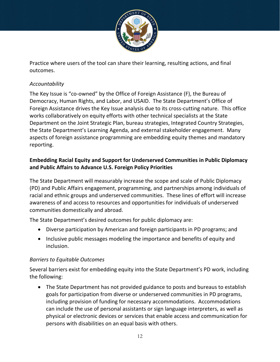

Practice where users of the tool can share their learning, resulting actions, and final outcomes.

#### *Accountability*

The Key Issue is "co-owned" by the Office of Foreign Assistance (F), the Bureau of Democracy, Human Rights, and Labor, and USAID. The State Department's Office of Foreign Assistance drives the Key Issue analysis due to its cross-cutting nature. This office works collaboratively on equity efforts with other technical specialists at the State Department on the Joint Strategic Plan, bureau strategies, Integrated Country Strategies, the State Department's Learning Agenda, and external stakeholder engagement. Many aspects of foreign assistance programming are embedding equity themes and mandatory reporting.

#### **Embedding Racial Equity and Support for Underserved Communities in Public Diplomacy and Public Affairs to Advance U.S. Foreign Policy Priorities**

The State Department will measurably increase the scope and scale of Public Diplomacy (PD) and Public Affairs engagement, programming, and partnerships among individuals of racial and ethnic groups and underserved communities. These lines of effort will increase awareness of and access to resources and opportunities for individuals of underserved communities domestically and abroad.

The State Department's desired outcomes for public diplomacy are:

- Diverse participation by American and foreign participants in PD programs; and
- Inclusive public messages modeling the importance and benefits of equity and inclusion.

#### *Barriers to Equitable Outcomes*

Several barriers exist for embedding equity into the State Department's PD work, including the following:

• The State Department has not provided guidance to posts and bureaus to establish goals for participation from diverse or underserved communities in PD programs, including provision of funding for necessary accommodations. Accommodations can include the use of personal assistants or sign language interpreters, as well as physical or electronic devices or services that enable access and communication for persons with disabilities on an equal basis with others.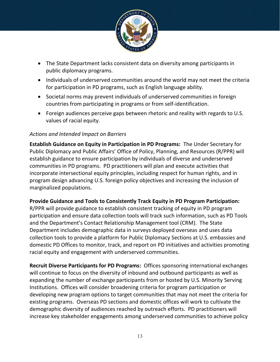

- The State Department lacks consistent data on diversity among participants in public diplomacy programs.
- Individuals of underserved communities around the world may not meet the criteria for participation in PD programs, such as English language ability.
- Societal norms may prevent individuals of underserved communities in foreign countries from participating in programs or from self-identification.
- Foreign audiences perceive gaps between rhetoric and reality with regards to U.S. values of racial equity.

#### *Actions and Intended Impact on Barriers*

**Establish Guidance on Equity in Participation in PD Programs:** The Under Secretary for Public Diplomacy and Public Affairs' Office of Policy, Planning, and Resources (R/PPR) will establish guidance to ensure participation by individuals of diverse and underserved communities in PD programs. PD practitioners will plan and execute activities that incorporate intersectional equity principles, including respect for human rights, and in program design advancing U.S. foreign policy objectives and increasing the inclusion of marginalized populations.

#### **Provide Guidance and Tools to Consistently Track Equity in PD Program Participation:**

R/PPR will provide guidance to establish consistent tracking of equity in PD program participation and ensure data collection tools will track such information, such as PD Tools and the Department's Contact Relationship Management tool (CRM). The State Department includes demographic data in surveys deployed overseas and uses data collection tools to provide a platform for Public Diplomacy Sections at U.S. embassies and domestic PD Offices to monitor, track, and report on PD initiatives and activities promoting racial equity and engagement with underserved communities.

**Recruit Diverse Participants for PD Programs:** Offices sponsoring international exchanges will continue to focus on the diversity of inbound and outbound participants as well as expanding the number of exchange participants from or hosted by U.S. Minority Serving Institutions. Offices will consider broadening criteria for program participation or developing new program options to target communities that may not meet the criteria for existing programs. Overseas PD sections and domestic offices will work to cultivate the demographic diversity of audiences reached by outreach efforts. PD practitioners will increase key stakeholder engagements among underserved communities to achieve policy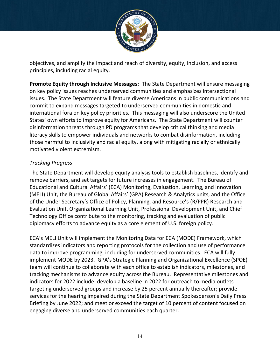

objectives, and amplify the impact and reach of diversity, equity, inclusion, and access principles, including racial equity.

**Promote Equity through Inclusive Messages:** The State Department will ensure messaging on key policy issues reaches underserved communities and emphasizes intersectional issues. The State Department will feature diverse Americans in public communications and commit to expand messages targeted to underserved communities in domestic and international fora on key policy priorities. This messaging will also underscore the United States' own efforts to improve equity for Americans. The State Department will counter disinformation threats through PD programs that develop critical thinking and media literacy skills to empower individuals and networks to combat disinformation, including those harmful to inclusivity and racial equity, along with mitigating racially or ethnically motivated violent extremism.

#### *Tracking Progress*

The State Department will develop equity analysis tools to establish baselines, identify and remove barriers, and set targets for future increases in engagement. The Bureau of Educational and Cultural Affairs' (ECA) Monitoring, Evaluation, Learning, and Innovation (MELI) Unit, the Bureau of Global Affairs' (GPA) Research & Analytics units, and the Office of the Under Secretary's Office of Policy, Planning, and Resource's (R/PPR) Research and Evaluation Unit, Organizational Learning Unit, Professional Development Unit, and Chief Technology Office contribute to the monitoring, tracking and evaluation of public diplomacy efforts to advance equity as a core element of U.S. foreign policy.

ECA's MELI Unit will implement the Monitoring Data for ECA (MODE) Framework, which standardizes indicators and reporting protocols for the collection and use of performance data to improve programming, including for underserved communities. ECA will fully implement MODE by 2023. GPA's Strategic Planning and Organizational Excellence (SPOE) team will continue to collaborate with each office to establish indicators, milestones, and tracking mechanisms to advance equity across the Bureau. Representative milestones and indicators for 2022 include: develop a baseline in 2022 for outreach to media outlets targeting underserved groups and increase by 25 percent annually thereafter; provide services for the hearing impaired during the State Department Spokesperson's Daily Press Briefing by June 2022; and meet or exceed the target of 10 percent of content focused on engaging diverse and underserved communities each quarter.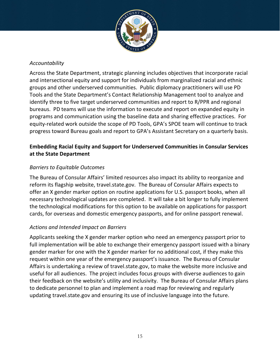

#### *Accountability*

Across the State Department, strategic planning includes objectives that incorporate racial and intersectional equity and support for individuals from marginalized racial and ethnic groups and other underserved communities. Public diplomacy practitioners will use PD Tools and the State Department's Contact Relationship Management tool to analyze and identify three to five target underserved communities and report to R/PPR and regional bureaus. PD teams will use the information to execute and report on expanded equity in programs and communication using the baseline data and sharing effective practices. For equity-related work outside the scope of PD Tools, GPA's SPOE team will continue to track progress toward Bureau goals and report to GPA's Assistant Secretary on a quarterly basis.

#### **Embedding Racial Equity and Support for Underserved Communities in Consular Services at the State Department**

#### *Barriers to Equitable Outcomes*

The Bureau of Consular Affairs' limited resources also impact its ability to reorganize and reform its flagship website, travel.state.gov. The Bureau of Consular Affairs expects to offer an X gender marker option on routine applications for U.S. passport books, when all necessary technological updates are completed. It will take a bit longer to fully implement the technological modifications for this option to be available on applications for passport cards, for overseas and domestic emergency passports, and for online passport renewal.

#### *Actions and Intended Impact on Barriers*

Applicants seeking the X gender marker option who need an emergency passport prior to full implementation will be able to exchange their emergency passport issued with a binary gender marker for one with the X gender marker for no additional cost, if they make this request within one year of the emergency passport's issuance. The Bureau of Consular Affairs is undertaking a review of travel.state.gov, to make the website more inclusive and useful for all audiences. The project includes focus groups with diverse audiences to gain their feedback on the website's utility and inclusivity. The Bureau of Consular Affairs plans to dedicate personnel to plan and implement a road map for reviewing and regularly updating travel.state.gov and ensuring its use of inclusive language into the future.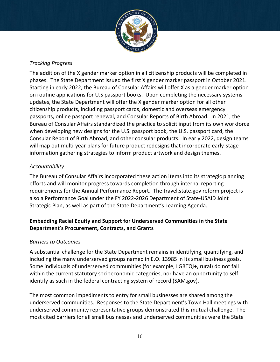

#### *Tracking Progress*

The addition of the X gender marker option in all citizenship products will be completed in phases. The State Department issued the first X gender marker passport in October 2021. Starting in early 2022, the Bureau of Consular Affairs will offer X as a gender marker option on routine applications for U.S passport books. Upon completing the necessary systems updates, the State Department will offer the X gender marker option for all other citizenship products, including passport cards, domestic and overseas emergency passports, online passport renewal, and Consular Reports of Birth Abroad. In 2021, the Bureau of Consular Affairs standardized the practice to solicit input from its own workforce when developing new designs for the U.S. passport book, the U.S. passport card, the Consular Report of Birth Abroad, and other consular products. In early 2022, design teams will map out multi-year plans for future product redesigns that incorporate early-stage information gathering strategies to inform product artwork and design themes.

#### *Accountability*

The Bureau of Consular Affairs incorporated these action items into its strategic planning efforts and will monitor progress towards completion through internal reporting requirements for the Annual Performance Report. The travel.state.gov reform project is also a Performance Goal under the FY 2022-2026 Department of State-USAID Joint Strategic Plan, as well as part of the State Department's Learning Agenda.

#### **Embedding Racial Equity and Support for Underserved Communities in the State Department's Procurement, Contracts, and Grants**

#### *Barriers to Outcomes*

A substantial challenge for the State Department remains in identifying, quantifying, and including the many underserved groups named in E.O. 13985 in its small business goals. Some individuals of underserved communities (for example, LGBTQI+, rural) do not fall within the current statutory socioeconomic categories, nor have an opportunity to selfidentify as such in the federal contracting system of record (SAM.gov).

The most common impediments to entry for small businesses are shared among the underserved communities. Responses to the State Department's Town Hall meetings with underserved community representative groups demonstrated this mutual challenge. The most cited barriers for all small businesses and underserved communities were the State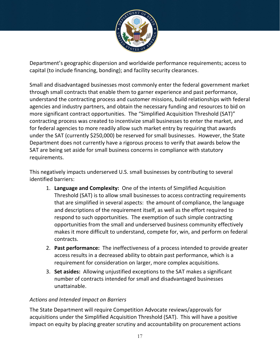

Department's geographic dispersion and worldwide performance requirements; access to capital (to include financing, bonding); and facility security clearances.

Small and disadvantaged businesses most commonly enter the federal government market through small contracts that enable them to garner experience and past performance, understand the contracting process and customer missions, build relationships with federal agencies and industry partners, and obtain the necessary funding and resources to bid on more significant contract opportunities. The "Simplified Acquisition Threshold (SAT)" contracting process was created to incentivize small businesses to enter the market, and for federal agencies to more readily allow such market entry by requiring that awards under the SAT (currently \$250,000) be reserved for small businesses. However, the State Department does not currently have a rigorous process to verify that awards below the SAT are being set aside for small business concerns in compliance with statutory requirements.

This negatively impacts underserved U.S. small businesses by contributing to several identified barriers:

- 1. **Language and Complexity:** One of the intents of Simplified Acquisition Threshold (SAT) is to allow small businesses to access contracting requirements that are simplified in several aspects: the amount of compliance, the language and descriptions of the requirement itself, as well as the effort required to respond to such opportunities. The exemption of such simple contracting opportunities from the small and underserved business community effectively makes it more difficult to understand, compete for, win, and perform on federal contracts.
- 2. **Past performance:** The ineffectiveness of a process intended to provide greater access results in a decreased ability to obtain past performance, which is a requirement for consideration on larger, more complex acquisitions.
- 3. **Set asides:** Allowing unjustified exceptions to the SAT makes a significant number of contracts intended for small and disadvantaged businesses unattainable.

#### *Actions and Intended Impact on Barriers*

The State Department will require Competition Advocate reviews/approvals for acquisitions under the Simplified Acquisition Threshold (SAT). This will have a positive impact on equity by placing greater scrutiny and accountability on procurement actions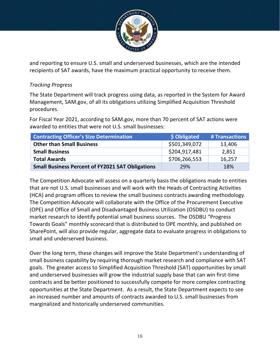

and reporting to ensure U.S. small and underserved businesses, which are the intended recipients of SAT awards, have the maximum practical opportunity to receive them.

#### *Tracking Progress*

The State Department will track progress using data, as reported in the System for Award Management, SAM.gov, of all its obligations utilizing Simplified Acquisition Threshold procedures.

For Fiscal Year 2021, according to SAM.gov, more than 70 percent of SAT actions were awarded to entities that were not U.S. small businesses:

| <b>Contracting Officer's Size Determination</b>         | \$ Obligated  | # Transactions |
|---------------------------------------------------------|---------------|----------------|
| <b>Other than Small Business</b>                        | \$501,349,072 | 13,406         |
| <b>Small Business</b>                                   | \$204,917,481 | 2,851          |
| <b>Total Awards</b>                                     | \$706,266,553 | 16,257         |
| <b>Small Business Percent of FY2021 SAT Obligations</b> | 29%           | 18%            |

The Competition Advocate will assess on a quarterly basis the obligations made to entities that are not U.S. small businesses and will work with the Heads of Contracting Activities (HCA) and program offices to review the small business contracts awarding methodology. The Competition Advocate will collaborate with the Office of the Procurement Executive (OPE) and Office of Small and Disadvantaged Business Utilization (OSDBU) to conduct market research to identify potential small business sources. The OSDBU "Progress Towards Goals" monthly scorecard that is distributed to OPE monthly, and published on SharePoint, will also provide regular, aggregate data to evaluate progress in obligations to small and underserved business.

Over the long term, these changes will improve the State Department's understanding of small business capability by requiring thorough market research and compliance with SAT goals. The greater access to Simplified Acquisition Threshold (SAT) opportunities by small and underserved businesses will grow the industrial supply base that can win first-time contracts and be better positioned to successfully compete for more complex contracting opportunities at the State Department. As a result, the State Department expects to see an increased number and amounts of contracts awarded to U.S. small businesses from marginalized and historically underserved communities.